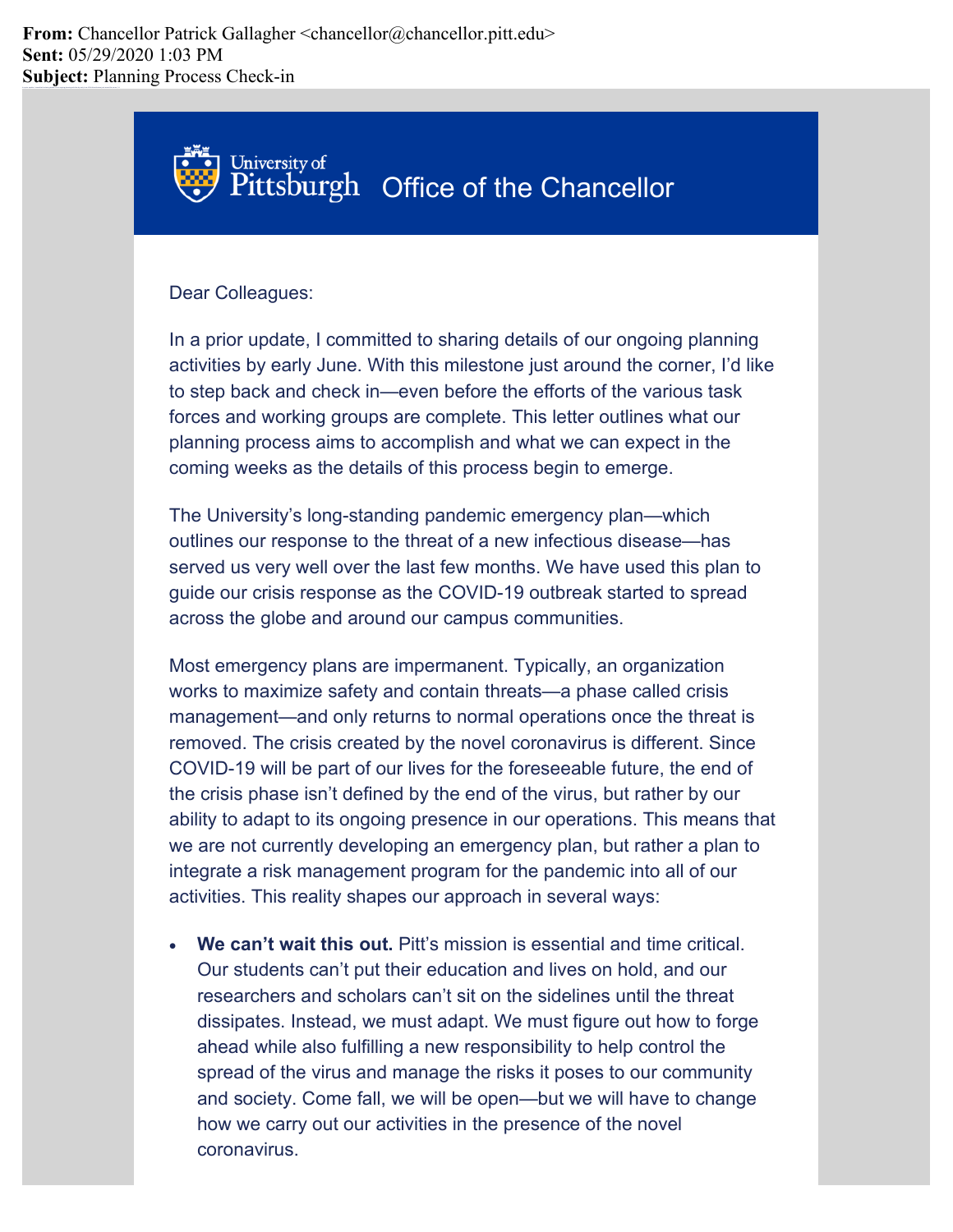**From:** Chancellor Patrick Gallagher <chancellor@chancellor.pitt.edu> **Sent:** 05/29/2020 1:03 PM **Subject:** Planning Process Check-in



## Dear Colleagues:

In a prior update, I committed to sharing details of our ongoing planning activities by early June. With this milestone just around the corner, I'd like to step back and check in—even before the efforts of the various task forces and working groups are complete. This letter outlines what our planning process aims to accomplish and what we can expect in the coming weeks as the details of this process begin to emerge.

The University's long-standing pandemic emergency plan—which outlines our response to the threat of a new infectious disease—has served us very well over the last few months. We have used this plan to guide our crisis response as the COVID-19 outbreak started to spread across the globe and around our campus communities.

Most emergency plans are impermanent. Typically, an organization works to maximize safety and contain threats—a phase called crisis management—and only returns to normal operations once the threat is removed. The crisis created by the novel coronavirus is different. Since COVID-19 will be part of our lives for the foreseeable future, the end of the crisis phase isn't defined by the end of the virus, but rather by our ability to adapt to its ongoing presence in our operations. This means that we are not currently developing an emergency plan, but rather a plan to integrate a risk management program for the pandemic into all of our activities. This reality shapes our approach in several ways:

• **We can't wait this out.** Pitt's mission is essential and time critical. Our students can't put their education and lives on hold, and our researchers and scholars can't sit on the sidelines until the threat dissipates. Instead, we must adapt. We must figure out how to forge ahead while also fulfilling a new responsibility to help control the spread of the virus and manage the risks it poses to our community and society. Come fall, we will be open—but we will have to change how we carry out our activities in the presence of the novel coronavirus.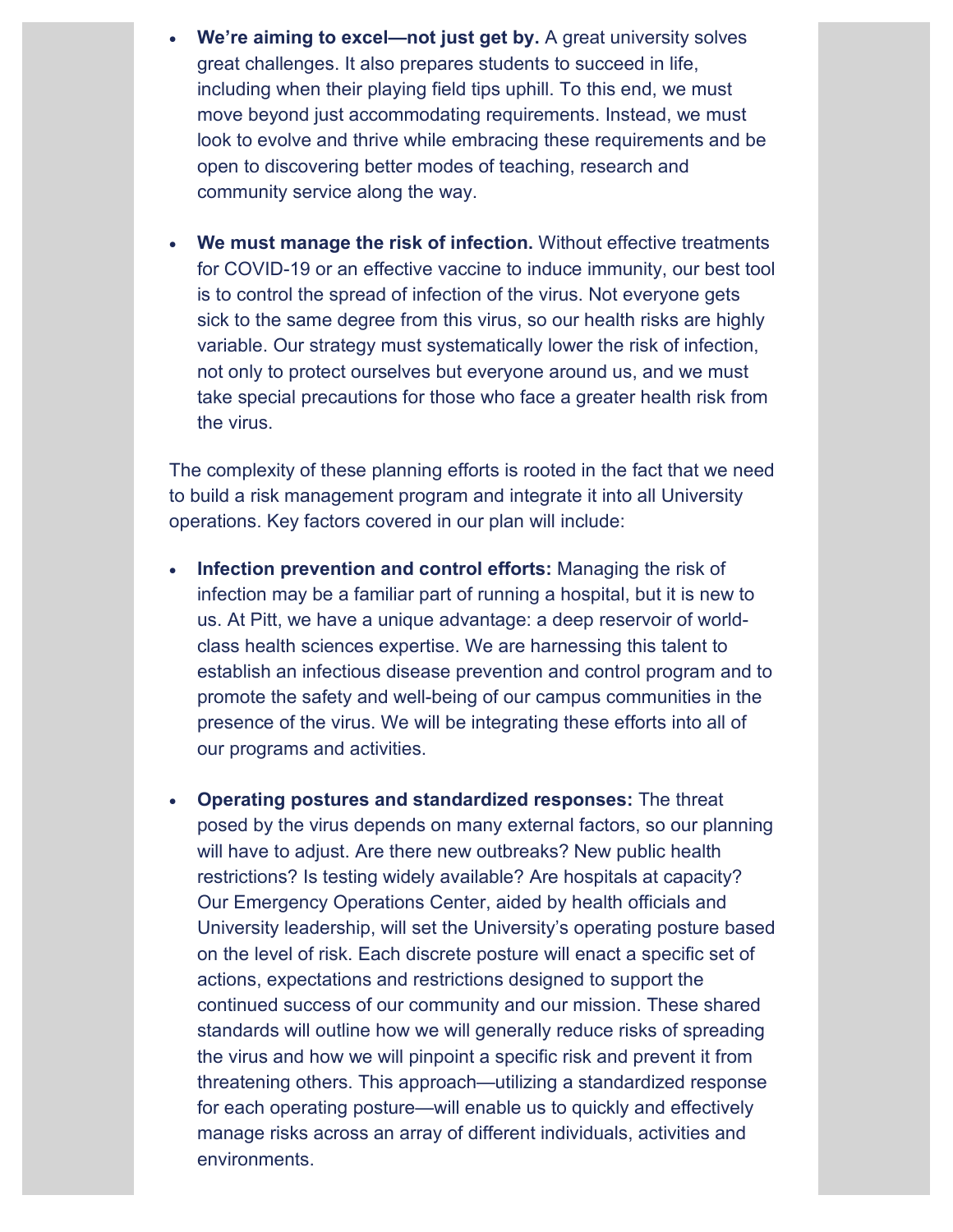- **We're aiming to excel—not just get by.** A great university solves great challenges. It also prepares students to succeed in life, including when their playing field tips uphill. To this end, we must move beyond just accommodating requirements. Instead, we must look to evolve and thrive while embracing these requirements and be open to discovering better modes of teaching, research and community service along the way.
- **We must manage the risk of infection.** Without effective treatments for COVID-19 or an effective vaccine to induce immunity, our best tool is to control the spread of infection of the virus. Not everyone gets sick to the same degree from this virus, so our health risks are highly variable. Our strategy must systematically lower the risk of infection, not only to protect ourselves but everyone around us, and we must take special precautions for those who face a greater health risk from the virus.

The complexity of these planning efforts is rooted in the fact that we need to build a risk management program and integrate it into all University operations. Key factors covered in our plan will include:

- **Infection prevention and control efforts:** Managing the risk of infection may be a familiar part of running a hospital, but it is new to us. At Pitt, we have a unique advantage: a deep reservoir of worldclass health sciences expertise. We are harnessing this talent to establish an infectious disease prevention and control program and to promote the safety and well-being of our campus communities in the presence of the virus. We will be integrating these efforts into all of our programs and activities.
- **Operating postures and standardized responses:** The threat posed by the virus depends on many external factors, so our planning will have to adjust. Are there new outbreaks? New public health restrictions? Is testing widely available? Are hospitals at capacity? Our Emergency Operations Center, aided by health officials and University leadership, will set the University's operating posture based on the level of risk. Each discrete posture will enact a specific set of actions, expectations and restrictions designed to support the continued success of our community and our mission. These shared standards will outline how we will generally reduce risks of spreading the virus and how we will pinpoint a specific risk and prevent it from threatening others. This approach—utilizing a standardized response for each operating posture—will enable us to quickly and effectively manage risks across an array of different individuals, activities and environments.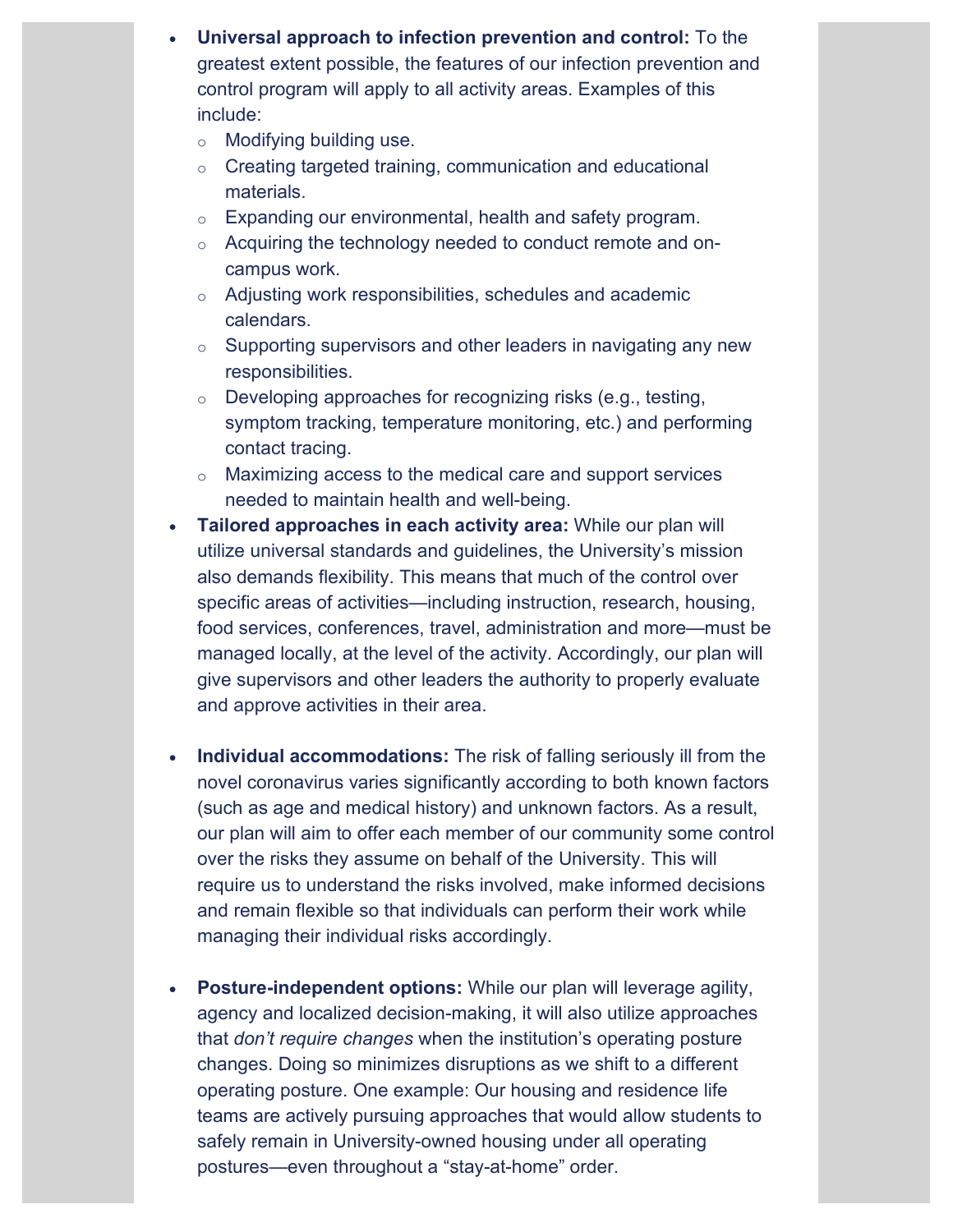- **Universal approach to infection prevention and control:** To the greatest extent possible, the features of our infection prevention and control program will apply to all activity areas. Examples of this include:
	- o Modifying building use.
	- o Creating targeted training, communication and educational materials.
	- o Expanding our environmental, health and safety program.
	- o Acquiring the technology needed to conduct remote and oncampus work.
	- o Adjusting work responsibilities, schedules and academic calendars.
	- $\circ$  Supporting supervisors and other leaders in navigating any new responsibilities.
	- o Developing approaches for recognizing risks (e.g., testing, symptom tracking, temperature monitoring, etc.) and performing contact tracing.
	- o Maximizing access to the medical care and support services needed to maintain health and well-being.
- **Tailored approaches in each activity area:** While our plan will utilize universal standards and guidelines, the University's mission also demands flexibility. This means that much of the control over specific areas of activities—including instruction, research, housing, food services, conferences, travel, administration and more—must be managed locally, at the level of the activity. Accordingly, our plan will give supervisors and other leaders the authority to properly evaluate and approve activities in their area.
- **Individual accommodations:** The risk of falling seriously ill from the novel coronavirus varies significantly according to both known factors (such as age and medical history) and unknown factors. As a result, our plan will aim to offer each member of our community some control over the risks they assume on behalf of the University. This will require us to understand the risks involved, make informed decisions and remain flexible so that individuals can perform their work while managing their individual risks accordingly.
- **Posture-independent options:** While our plan will leverage agility, agency and localized decision-making, it will also utilize approaches that *don't require changes* when the institution's operating posture changes. Doing so minimizes disruptions as we shift to a different operating posture. One example: Our housing and residence life teams are actively pursuing approaches that would allow students to safely remain in University-owned housing under all operating postures—even throughout a "stay-at-home" order.